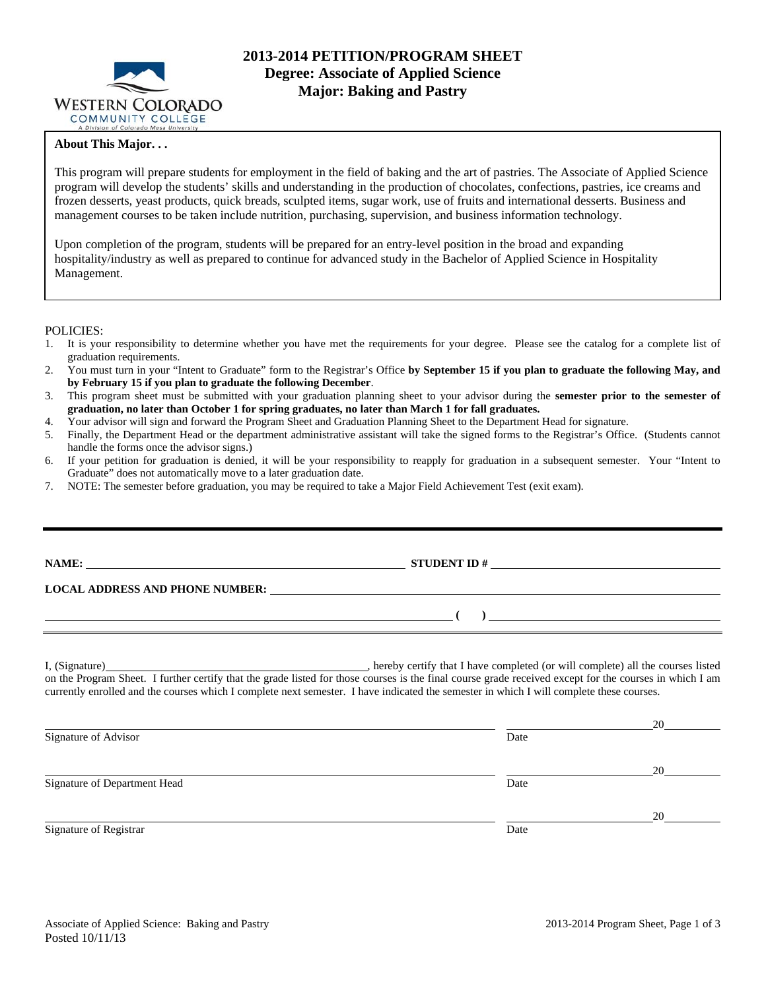

# **2013-2014 PETITION/PROGRAM SHEET Degree: Associate of Applied Science Major: Baking and Pastry**

### **About This Major. . .**

This program will prepare students for employment in the field of baking and the art of pastries. The Associate of Applied Science program will develop the students' skills and understanding in the production of chocolates, confections, pastries, ice creams and frozen desserts, yeast products, quick breads, sculpted items, sugar work, use of fruits and international desserts. Business and management courses to be taken include nutrition, purchasing, supervision, and business information technology.

Upon completion of the program, students will be prepared for an entry-level position in the broad and expanding hospitality/industry as well as prepared to continue for advanced study in the Bachelor of Applied Science in Hospitality Management.

### POLICIES:

- 1. It is your responsibility to determine whether you have met the requirements for your degree. Please see the catalog for a complete list of graduation requirements.
- 2. You must turn in your "Intent to Graduate" form to the Registrar's Office **by September 15 if you plan to graduate the following May, and by February 15 if you plan to graduate the following December**.
- 3. This program sheet must be submitted with your graduation planning sheet to your advisor during the **semester prior to the semester of graduation, no later than October 1 for spring graduates, no later than March 1 for fall graduates.**
- 4. Your advisor will sign and forward the Program Sheet and Graduation Planning Sheet to the Department Head for signature.
- 5. Finally, the Department Head or the department administrative assistant will take the signed forms to the Registrar's Office. (Students cannot handle the forms once the advisor signs.)
- 6. If your petition for graduation is denied, it will be your responsibility to reapply for graduation in a subsequent semester. Your "Intent to Graduate" does not automatically move to a later graduation date.
- 7. NOTE: The semester before graduation, you may be required to take a Major Field Achievement Test (exit exam).

| NAME:                         |                                                                                                                                                                                                                                                                                                                                                                                                                                                              |          |
|-------------------------------|--------------------------------------------------------------------------------------------------------------------------------------------------------------------------------------------------------------------------------------------------------------------------------------------------------------------------------------------------------------------------------------------------------------------------------------------------------------|----------|
|                               |                                                                                                                                                                                                                                                                                                                                                                                                                                                              |          |
|                               | $\mathcal{L}$                                                                                                                                                                                                                                                                                                                                                                                                                                                |          |
| $\mathbf{r}$ and $\mathbf{r}$ | $\mathcal{L} = \mathcal{L} = \mathcal{L} = \mathcal{L} = \mathcal{L} = \mathcal{L} = \mathcal{L} = \mathcal{L} = \mathcal{L} = \mathcal{L} = \mathcal{L} = \mathcal{L} = \mathcal{L} = \mathcal{L} = \mathcal{L} = \mathcal{L} = \mathcal{L} = \mathcal{L} = \mathcal{L} = \mathcal{L} = \mathcal{L} = \mathcal{L} = \mathcal{L} = \mathcal{L} = \mathcal{L} = \mathcal{L} = \mathcal{L} = \mathcal{L} = \mathcal{L} = \mathcal{L} = \mathcal{L} = \mathcal$ | $\cdots$ |

I, (Signature) **Solution** , hereby certify that I have completed (or will complete) all the courses listed on the Program Sheet. I further certify that the grade listed for those courses is the final course grade received except for the courses in which I am currently enrolled and the courses which I complete next semester. I have indicated the semester in which I will complete these courses.

|                              |      | 20 |
|------------------------------|------|----|
| Signature of Advisor         | Date |    |
|                              |      | 20 |
| Signature of Department Head | Date |    |
|                              |      | 20 |
| Signature of Registrar       | Date |    |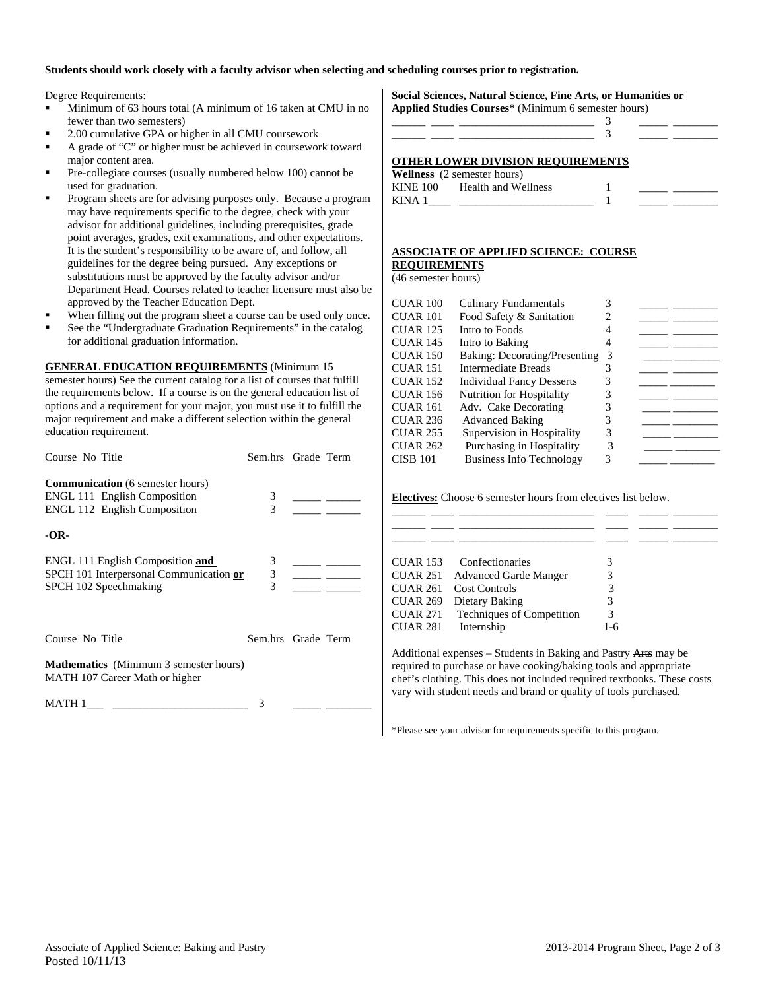### **Students should work closely with a faculty advisor when selecting and scheduling courses prior to registration.**

Degree Requirements:

- Minimum of 63 hours total (A minimum of 16 taken at CMU in no fewer than two semesters)
- 2.00 cumulative GPA or higher in all CMU coursework
- A grade of "C" or higher must be achieved in coursework toward major content area.
- Pre-collegiate courses (usually numbered below 100) cannot be used for graduation.
- Program sheets are for advising purposes only. Because a program may have requirements specific to the degree, check with your advisor for additional guidelines, including prerequisites, grade point averages, grades, exit examinations, and other expectations. It is the student's responsibility to be aware of, and follow, all guidelines for the degree being pursued. Any exceptions or substitutions must be approved by the faculty advisor and/or Department Head. Courses related to teacher licensure must also be approved by the Teacher Education Dept.
- When filling out the program sheet a course can be used only once.
- See the "Undergraduate Graduation Requirements" in the catalog for additional graduation information.

**GENERAL EDUCATION REQUIREMENTS** (Minimum 15

semester hours) See the current catalog for a list of courses that fulfill the requirements below. If a course is on the general education list of options and a requirement for your major, you must use it to fulfill the major requirement and make a different selection within the general education requirement.

| Course No Title                                                                                                       | Sem.hrs Grade Term       |  |
|-----------------------------------------------------------------------------------------------------------------------|--------------------------|--|
| <b>Communication</b> (6 semester hours)<br><b>ENGL 111 English Composition</b><br><b>ENGL 112 English Composition</b> | 3<br>3                   |  |
| -OR-                                                                                                                  |                          |  |
| ENGL 111 English Composition and<br>SPCH 101 Interpersonal Communication or<br>SPCH 102 Speechmaking                  | 3<br>$\mathfrak{Z}$<br>3 |  |
| Course No Title                                                                                                       | Sem.hrs Grade Term       |  |
| <b>Mathematics</b> (Minimum 3 semester hours)<br>MATH 107 Career Math or higher                                       |                          |  |
| MATH 1                                                                                                                |                          |  |

**Social Sciences, Natural Science, Fine Arts, or Humanities or Applied Studies Courses\*** (Minimum 6 semester hours)

| OTHER LOWER DIVISION REQUIREMENTS<br><b>Wellness</b> (2 semester hours) |  |  |
|-------------------------------------------------------------------------|--|--|

|                 | $\sqrt{2}$ cancel $\sqrt{2}$ scribble from $\sqrt{2}$ |  |  |
|-----------------|-------------------------------------------------------|--|--|
| <b>KINE 100</b> | Health and Wellness                                   |  |  |
| KINA 1          |                                                       |  |  |

### **ASSOCIATE OF APPLIED SCIENCE: COURSE**

**REQUIREMENTS**

(46 semester hours)

| CUAR 100 | <b>Culinary Fundamentals</b>     | 3 |  |
|----------|----------------------------------|---|--|
| CUAR 101 | Food Safety & Sanitation         |   |  |
| CUAR 125 | Intro to Foods                   |   |  |
| CUAR 145 | Intro to Baking                  |   |  |
| CUAR 150 | Baking: Decorating/Presenting    |   |  |
| CUAR 151 | Intermediate Breads              |   |  |
| CUAR 152 | <b>Individual Fancy Desserts</b> |   |  |
| CUAR 156 | Nutrition for Hospitality        |   |  |
| CUAR 161 | Adv. Cake Decorating             |   |  |
| CUAR 236 | <b>Advanced Baking</b>           |   |  |
| CUAR 255 | Supervision in Hospitality       |   |  |
| CUAR 262 | Purchasing in Hospitality        |   |  |
| CISB 101 | <b>Business Info Technology</b>  | 3 |  |
|          |                                  |   |  |

**Electives:** Choose 6 semester hours from electives list below.

| CUAR 153        | Confectionaries              |     |  |
|-----------------|------------------------------|-----|--|
| CUAR 251        | <b>Advanced Garde Manger</b> |     |  |
| <b>CUAR 261</b> | Cost Controls                | 3   |  |
| <b>CUAR 269</b> | Dietary Baking               | 3   |  |
| <b>CUAR 271</b> | Techniques of Competition    | 3   |  |
| <b>CUAR 281</b> | Internship                   | 1-6 |  |

Additional expenses – Students in Baking and Pastry Arts may be required to purchase or have cooking/baking tools and appropriate chef's clothing. This does not included required textbooks. These costs vary with student needs and brand or quality of tools purchased.

\*Please see your advisor for requirements specific to this program.